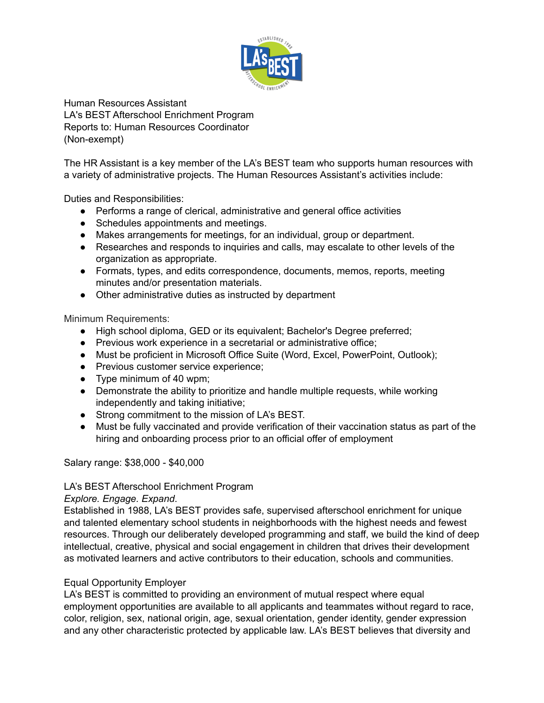

Human Resources Assistant LA's BEST Afterschool Enrichment Program Reports to: Human Resources Coordinator (Non-exempt)

The HR Assistant is a key member of the LA's BEST team who supports human resources with a variety of administrative projects. The Human Resources Assistant's activities include:

Duties and Responsibilities:

- Performs a range of clerical, administrative and general office activities
- Schedules appointments and meetings.
- Makes arrangements for meetings, for an individual, group or department.
- Researches and responds to inquiries and calls, may escalate to other levels of the organization as appropriate.
- Formats, types, and edits correspondence, documents, memos, reports, meeting minutes and/or presentation materials.
- Other administrative duties as instructed by department

Minimum Requirements:

- High school diploma, GED or its equivalent; Bachelor's Degree preferred;
- Previous work experience in a secretarial or administrative office;
- Must be proficient in Microsoft Office Suite (Word, Excel, PowerPoint, Outlook);
- Previous customer service experience;
- Type minimum of 40 wpm;
- Demonstrate the ability to prioritize and handle multiple requests, while working independently and taking initiative;
- Strong commitment to the mission of LA's BEST.
- Must be fully vaccinated and provide verification of their vaccination status as part of the hiring and onboarding process prior to an official offer of employment

Salary range: \$38,000 - \$40,000

## LA's BEST Afterschool Enrichment Program

## *Explore. Engage. Expand*.

Established in 1988, LA's BEST provides safe, supervised afterschool enrichment for unique and talented elementary school students in neighborhoods with the highest needs and fewest resources. Through our deliberately developed programming and staff, we build the kind of deep intellectual, creative, physical and social engagement in children that drives their development as motivated learners and active contributors to their education, schools and communities.

## Equal Opportunity Employer

LA's BEST is committed to providing an environment of mutual respect where equal employment opportunities are available to all applicants and teammates without regard to race, color, religion, sex, national origin, age, sexual orientation, gender identity, gender expression and any other characteristic protected by applicable law. LA's BEST believes that diversity and